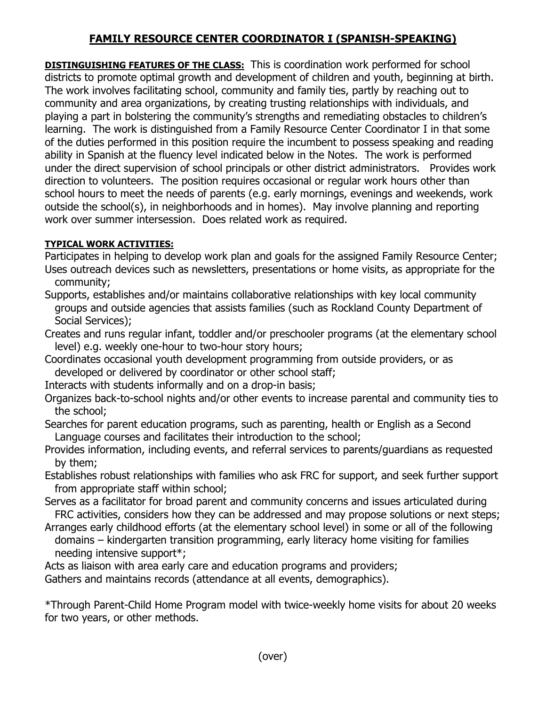## **FAMILY RESOURCE CENTER COORDINATOR I (SPANISH-SPEAKING)**

**DISTINGUISHING FEATURES OF THE CLASS:** This is coordination work performed for school districts to promote optimal growth and development of children and youth, beginning at birth. The work involves facilitating school, community and family ties, partly by reaching out to community and area organizations, by creating trusting relationships with individuals, and playing a part in bolstering the community's strengths and remediating obstacles to children's learning. The work is distinguished from a Family Resource Center Coordinator I in that some of the duties performed in this position require the incumbent to possess speaking and reading ability in Spanish at the fluency level indicated below in the Notes. The work is performed under the direct supervision of school principals or other district administrators. Provides work direction to volunteers. The position requires occasional or regular work hours other than school hours to meet the needs of parents (e.g. early mornings, evenings and weekends, work outside the school(s), in neighborhoods and in homes). May involve planning and reporting work over summer intersession. Does related work as required.

## **TYPICAL WORK ACTIVITIES:**

Participates in helping to develop work plan and goals for the assigned Family Resource Center; Uses outreach devices such as newsletters, presentations or home visits, as appropriate for the community;

Supports, establishes and/or maintains collaborative relationships with key local community groups and outside agencies that assists families (such as Rockland County Department of Social Services);

Creates and runs regular infant, toddler and/or preschooler programs (at the elementary school level) e.g. weekly one-hour to two-hour story hours;

Coordinates occasional youth development programming from outside providers, or as developed or delivered by coordinator or other school staff;

Interacts with students informally and on a drop-in basis;

Organizes back-to-school nights and/or other events to increase parental and community ties to the school;

Searches for parent education programs, such as parenting, health or English as a Second Language courses and facilitates their introduction to the school;

Provides information, including events, and referral services to parents/guardians as requested by them;

Establishes robust relationships with families who ask FRC for support, and seek further support from appropriate staff within school;

Serves as a facilitator for broad parent and community concerns and issues articulated during FRC activities, considers how they can be addressed and may propose solutions or next steps;

Arranges early childhood efforts (at the elementary school level) in some or all of the following domains – kindergarten transition programming, early literacy home visiting for families needing intensive support\*;

Acts as liaison with area early care and education programs and providers;

Gathers and maintains records (attendance at all events, demographics).

\*Through Parent-Child Home Program model with twice-weekly home visits for about 20 weeks for two years, or other methods.